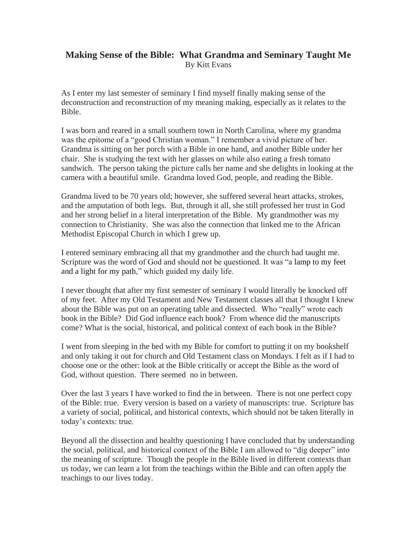## **Making Sense of the Bible: What Grandma and Seminary Taught Me** By Kitt Evans

As I enter my last semester of seminary I find myself finally making sense of the deconstruction and reconstruction of my meaning making, especially as it relates to the Bible.

I was born and reared in a small southern town in North Carolina, where my grandma was the epitome of a "good Christian woman." I remember a vivid picture of her. Grandma is sitting on her porch with a Bible in one hand, and another Bible under her chair. She is studying the text with her glasses on while also eating a fresh tomato sandwich. The person taking the picture calls her name and she delights in looking at the camera with a beautiful smile. Grandma loved God, people, and reading the Bible.

Grandma lived to be 70 years old; however, she suffered several heart attacks, strokes, and the amputation of both legs. But, through it all, she still professed her trust in God and her strong belief in a literal interpretation of the Bible. My grandmother was my connection to Christianity. She was also the connection that linked me to the African Methodist Episcopal Church in which I grew up.

I entered seminary embracing all that my grandmother and the church had taught me. Scripture was the word of God and should not be questioned. It was "a lamp to my feet and a light for my path," which guided my daily life.

I never thought that after my first semester of seminary I would literally be knocked off of my feet. After my Old Testament and New Testament classes all that I thought I knew about the Bible was put on an operating table and dissected. Who "really" wrote each book in the Bible? Did God influence each book? From whence did the manuscripts come? What is the social, historical, and political context of each book in the Bible?

I went from sleeping in the bed with my Bible for comfort to putting it on my bookshelf and only taking it out for church and Old Testament class on Mondays. I felt as if I had to choose one or the other: look at the Bible critically or accept the Bible as the word of God, without question. There seemed no in between.

Over the last 3 years I have worked to find the in between. There is not one perfect copy of the Bible: true. Every version is based on a variety of manuscripts: true. Scripture has a variety of social, political, and historical contexts, which should not be taken literally in today's contexts: true.

Beyond all the dissection and healthy questioning I have concluded that by understanding the social, political, and historical context of the Bible I am allowed to "dig deeper" into the meaning of scripture. Though the people in the Bible lived in different contexts than us today, we can learn a lot from the teachings within the Bible and can often apply the teachings to our lives today.